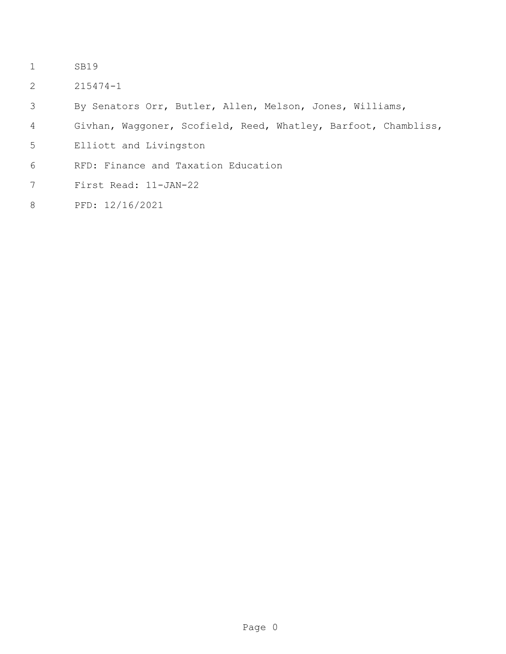- SB19
- 215474-1
- By Senators Orr, Butler, Allen, Melson, Jones, Williams,
- Givhan, Waggoner, Scofield, Reed, Whatley, Barfoot, Chambliss,
- Elliott and Livingston
- RFD: Finance and Taxation Education
- First Read: 11-JAN-22
- PFD: 12/16/2021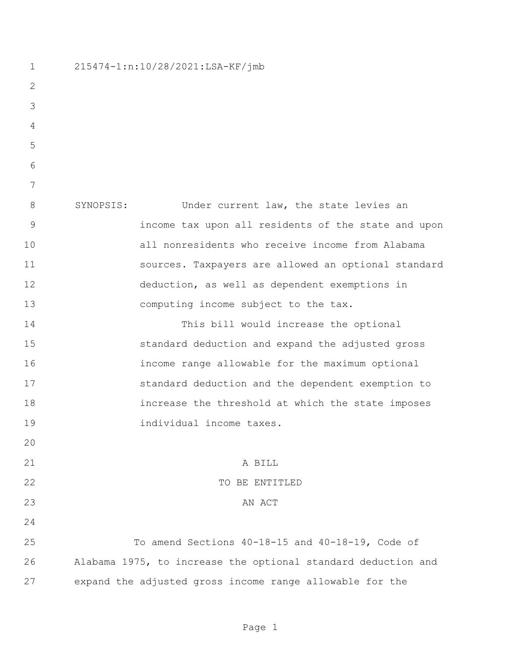215474-1:n:10/28/2021:LSA-KF/jmb SYNOPSIS: Under current law, the state levies an income tax upon all residents of the state and upon all nonresidents who receive income from Alabama sources. Taxpayers are allowed an optional standard deduction, as well as dependent exemptions in 13 computing income subject to the tax. This bill would increase the optional standard deduction and expand the adjusted gross income range allowable for the maximum optional standard deduction and the dependent exemption to increase the threshold at which the state imposes individual income taxes. 21 A BILL 22 TO BE ENTITLED 23 AN ACT To amend Sections 40-18-15 and 40-18-19, Code of Alabama 1975, to increase the optional standard deduction and expand the adjusted gross income range allowable for the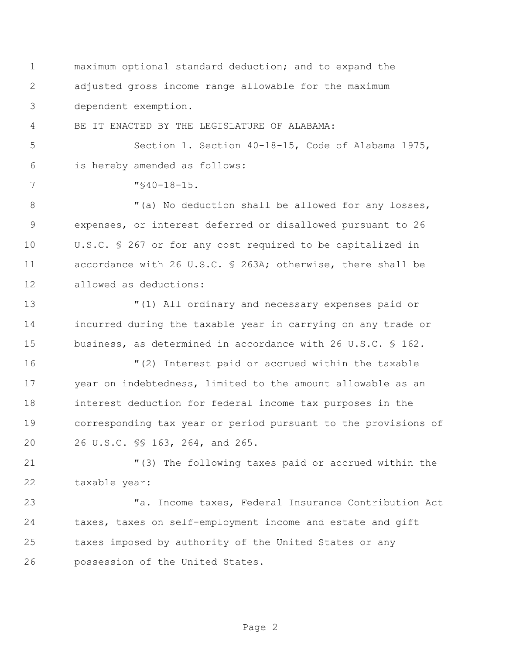maximum optional standard deduction; and to expand the adjusted gross income range allowable for the maximum dependent exemption.

BE IT ENACTED BY THE LEGISLATURE OF ALABAMA:

 Section 1. Section 40-18-15, Code of Alabama 1975, is hereby amended as follows:

7  $\sqrt{940-18-15}$ .

8 "(a) No deduction shall be allowed for any losses, expenses, or interest deferred or disallowed pursuant to 26 U.S.C. § 267 or for any cost required to be capitalized in accordance with 26 U.S.C. § 263A; otherwise, there shall be allowed as deductions:

 "(1) All ordinary and necessary expenses paid or incurred during the taxable year in carrying on any trade or business, as determined in accordance with 26 U.S.C. § 162.

 "(2) Interest paid or accrued within the taxable year on indebtedness, limited to the amount allowable as an interest deduction for federal income tax purposes in the corresponding tax year or period pursuant to the provisions of 26 U.S.C. §§ 163, 264, and 265.

 "(3) The following taxes paid or accrued within the taxable year:

 "a. Income taxes, Federal Insurance Contribution Act taxes, taxes on self-employment income and estate and gift taxes imposed by authority of the United States or any possession of the United States.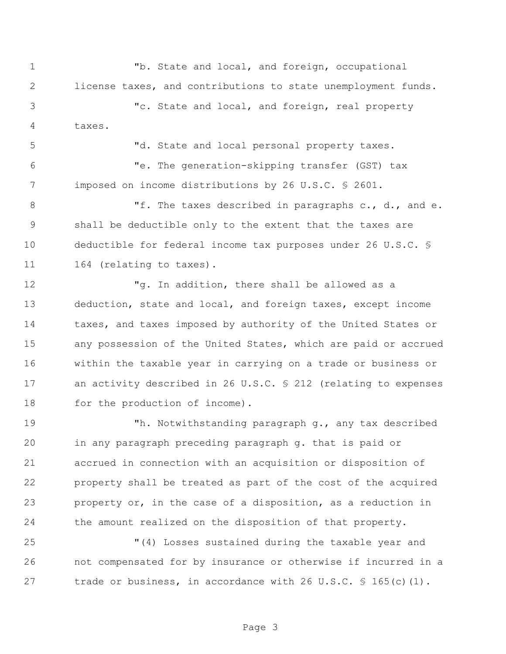"b. State and local, and foreign, occupational license taxes, and contributions to state unemployment funds. "c. State and local, and foreign, real property taxes.

"d. State and local personal property taxes.

 "e. The generation-skipping transfer (GST) tax imposed on income distributions by 26 U.S.C. § 2601.

8 The taxes described in paragraphs c., d., and e. shall be deductible only to the extent that the taxes are deductible for federal income tax purposes under 26 U.S.C. § 11 164 (relating to taxes).

12 Tg. In addition, there shall be allowed as a deduction, state and local, and foreign taxes, except income taxes, and taxes imposed by authority of the United States or any possession of the United States, which are paid or accrued within the taxable year in carrying on a trade or business or 17 an activity described in 26 U.S.C. § 212 (relating to expenses 18 for the production of income).

 "h. Notwithstanding paragraph g., any tax described in any paragraph preceding paragraph g. that is paid or accrued in connection with an acquisition or disposition of property shall be treated as part of the cost of the acquired property or, in the case of a disposition, as a reduction in the amount realized on the disposition of that property.

 "(4) Losses sustained during the taxable year and not compensated for by insurance or otherwise if incurred in a 27 trade or business, in accordance with 26 U.S.C. § 165(c)(1).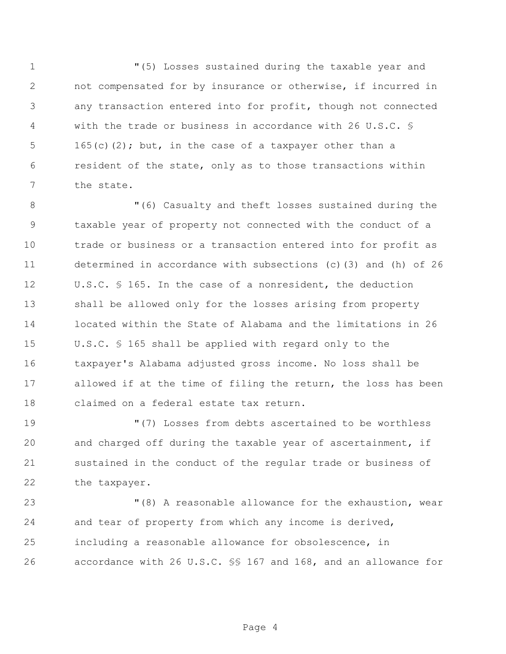"(5) Losses sustained during the taxable year and not compensated for by insurance or otherwise, if incurred in any transaction entered into for profit, though not connected with the trade or business in accordance with 26 U.S.C. § 165(c)(2); but, in the case of a taxpayer other than a resident of the state, only as to those transactions within the state.

 "(6) Casualty and theft losses sustained during the taxable year of property not connected with the conduct of a trade or business or a transaction entered into for profit as determined in accordance with subsections (c)(3) and (h) of 26 U.S.C. § 165. In the case of a nonresident, the deduction shall be allowed only for the losses arising from property located within the State of Alabama and the limitations in 26 U.S.C. § 165 shall be applied with regard only to the taxpayer's Alabama adjusted gross income. No loss shall be allowed if at the time of filing the return, the loss has been claimed on a federal estate tax return.

 "(7) Losses from debts ascertained to be worthless and charged off during the taxable year of ascertainment, if sustained in the conduct of the regular trade or business of the taxpayer.

 "(8) A reasonable allowance for the exhaustion, wear and tear of property from which any income is derived, including a reasonable allowance for obsolescence, in accordance with 26 U.S.C. §§ 167 and 168, and an allowance for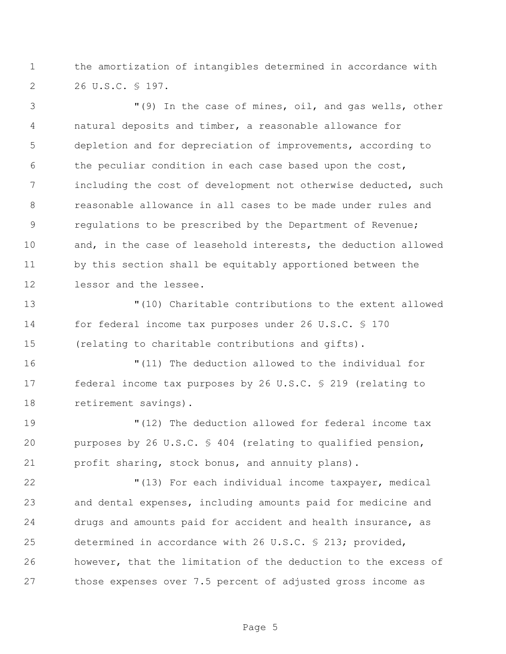the amortization of intangibles determined in accordance with 26 U.S.C. § 197.

 "(9) In the case of mines, oil, and gas wells, other natural deposits and timber, a reasonable allowance for depletion and for depreciation of improvements, according to the peculiar condition in each case based upon the cost, including the cost of development not otherwise deducted, such reasonable allowance in all cases to be made under rules and regulations to be prescribed by the Department of Revenue; and, in the case of leasehold interests, the deduction allowed by this section shall be equitably apportioned between the lessor and the lessee.

 "(10) Charitable contributions to the extent allowed for federal income tax purposes under 26 U.S.C. § 170 (relating to charitable contributions and gifts).

 "(11) The deduction allowed to the individual for federal income tax purposes by 26 U.S.C. § 219 (relating to retirement savings).

 "(12) The deduction allowed for federal income tax purposes by 26 U.S.C. § 404 (relating to qualified pension, profit sharing, stock bonus, and annuity plans).

 "(13) For each individual income taxpayer, medical and dental expenses, including amounts paid for medicine and drugs and amounts paid for accident and health insurance, as determined in accordance with 26 U.S.C. § 213; provided, however, that the limitation of the deduction to the excess of those expenses over 7.5 percent of adjusted gross income as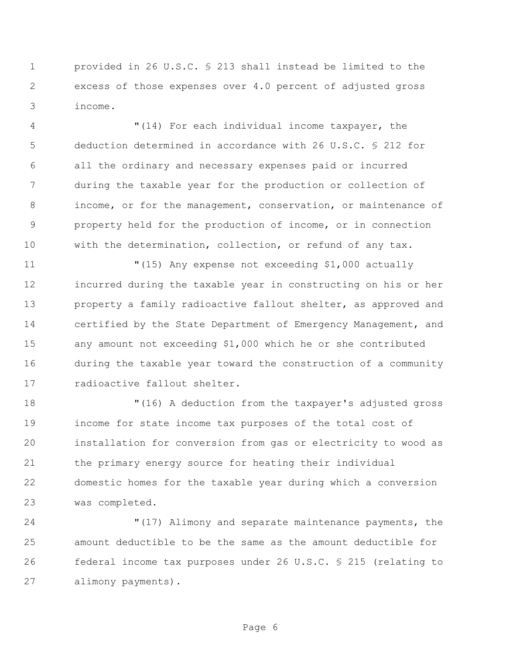provided in 26 U.S.C. § 213 shall instead be limited to the excess of those expenses over 4.0 percent of adjusted gross income.

 "(14) For each individual income taxpayer, the deduction determined in accordance with 26 U.S.C. § 212 for all the ordinary and necessary expenses paid or incurred during the taxable year for the production or collection of income, or for the management, conservation, or maintenance of property held for the production of income, or in connection with the determination, collection, or refund of any tax.

 "(15) Any expense not exceeding \$1,000 actually incurred during the taxable year in constructing on his or her property a family radioactive fallout shelter, as approved and certified by the State Department of Emergency Management, and any amount not exceeding \$1,000 which he or she contributed during the taxable year toward the construction of a community radioactive fallout shelter.

 "(16) A deduction from the taxpayer's adjusted gross income for state income tax purposes of the total cost of installation for conversion from gas or electricity to wood as the primary energy source for heating their individual domestic homes for the taxable year during which a conversion was completed.

 "(17) Alimony and separate maintenance payments, the amount deductible to be the same as the amount deductible for federal income tax purposes under 26 U.S.C. § 215 (relating to alimony payments).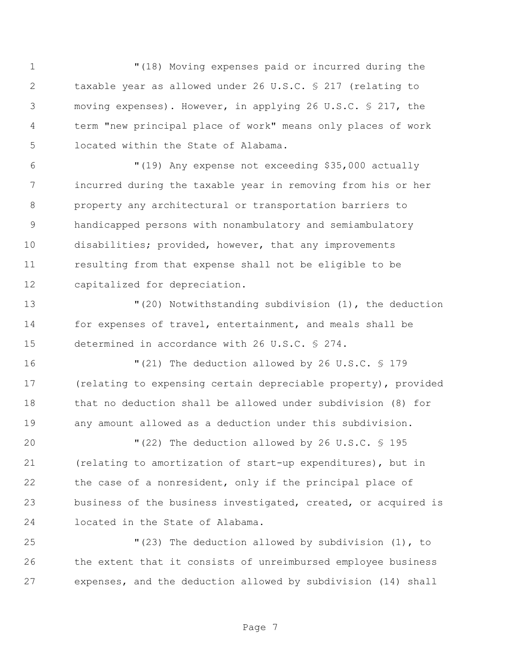"(18) Moving expenses paid or incurred during the taxable year as allowed under 26 U.S.C. § 217 (relating to moving expenses). However, in applying 26 U.S.C. § 217, the term "new principal place of work" means only places of work located within the State of Alabama.

 "(19) Any expense not exceeding \$35,000 actually incurred during the taxable year in removing from his or her property any architectural or transportation barriers to handicapped persons with nonambulatory and semiambulatory disabilities; provided, however, that any improvements resulting from that expense shall not be eligible to be capitalized for depreciation.

 "(20) Notwithstanding subdivision (1), the deduction for expenses of travel, entertainment, and meals shall be determined in accordance with 26 U.S.C. § 274.

 "(21) The deduction allowed by 26 U.S.C. § 179 (relating to expensing certain depreciable property), provided that no deduction shall be allowed under subdivision (8) for any amount allowed as a deduction under this subdivision.

 "(22) The deduction allowed by 26 U.S.C. § 195 (relating to amortization of start-up expenditures), but in the case of a nonresident, only if the principal place of business of the business investigated, created, or acquired is located in the State of Alabama.

 "(23) The deduction allowed by subdivision (1), to the extent that it consists of unreimbursed employee business expenses, and the deduction allowed by subdivision (14) shall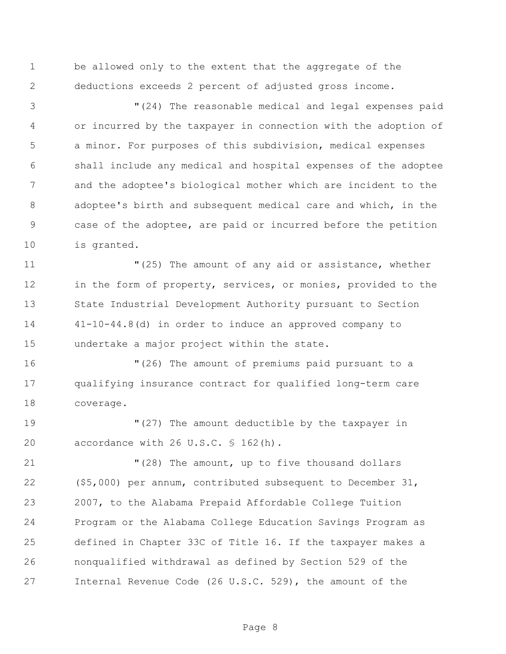be allowed only to the extent that the aggregate of the deductions exceeds 2 percent of adjusted gross income.

 "(24) The reasonable medical and legal expenses paid or incurred by the taxpayer in connection with the adoption of a minor. For purposes of this subdivision, medical expenses shall include any medical and hospital expenses of the adoptee and the adoptee's biological mother which are incident to the adoptee's birth and subsequent medical care and which, in the case of the adoptee, are paid or incurred before the petition is granted.

 $(25)$  The amount of any aid or assistance, whether 12 in the form of property, services, or monies, provided to the State Industrial Development Authority pursuant to Section 41-10-44.8(d) in order to induce an approved company to undertake a major project within the state.

 "(26) The amount of premiums paid pursuant to a qualifying insurance contract for qualified long-term care coverage.

 "(27) The amount deductible by the taxpayer in 20 accordance with 26 U.S.C. § 162(h).

 "(28) The amount, up to five thousand dollars (\$5,000) per annum, contributed subsequent to December 31, 2007, to the Alabama Prepaid Affordable College Tuition Program or the Alabama College Education Savings Program as defined in Chapter 33C of Title 16. If the taxpayer makes a nonqualified withdrawal as defined by Section 529 of the Internal Revenue Code (26 U.S.C. 529), the amount of the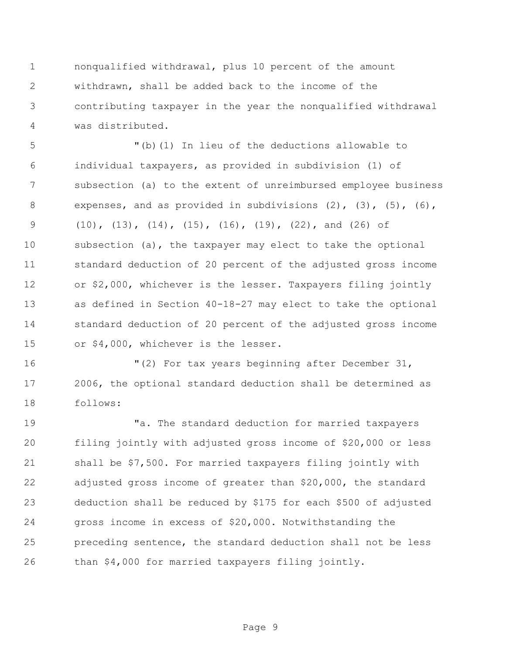nonqualified withdrawal, plus 10 percent of the amount withdrawn, shall be added back to the income of the contributing taxpayer in the year the nonqualified withdrawal was distributed.

 "(b)(1) In lieu of the deductions allowable to individual taxpayers, as provided in subdivision (1) of subsection (a) to the extent of unreimbursed employee business expenses, and as provided in subdivisions (2), (3), (5), (6), (10), (13), (14), (15), (16), (19), (22), and (26) of subsection (a), the taxpayer may elect to take the optional standard deduction of 20 percent of the adjusted gross income or \$2,000, whichever is the lesser. Taxpayers filing jointly as defined in Section 40-18-27 may elect to take the optional standard deduction of 20 percent of the adjusted gross income or \$4,000, whichever is the lesser.

 "(2) For tax years beginning after December 31, 2006, the optional standard deduction shall be determined as follows:

 "a. The standard deduction for married taxpayers filing jointly with adjusted gross income of \$20,000 or less shall be \$7,500. For married taxpayers filing jointly with adjusted gross income of greater than \$20,000, the standard deduction shall be reduced by \$175 for each \$500 of adjusted gross income in excess of \$20,000. Notwithstanding the preceding sentence, the standard deduction shall not be less than \$4,000 for married taxpayers filing jointly.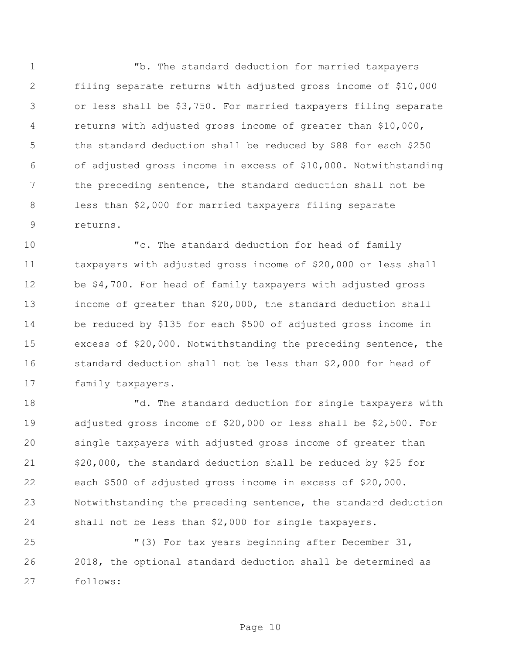"b. The standard deduction for married taxpayers filing separate returns with adjusted gross income of \$10,000 or less shall be \$3,750. For married taxpayers filing separate returns with adjusted gross income of greater than \$10,000, the standard deduction shall be reduced by \$88 for each \$250 of adjusted gross income in excess of \$10,000. Notwithstanding the preceding sentence, the standard deduction shall not be less than \$2,000 for married taxpayers filing separate returns.

 "c. The standard deduction for head of family taxpayers with adjusted gross income of \$20,000 or less shall be \$4,700. For head of family taxpayers with adjusted gross income of greater than \$20,000, the standard deduction shall be reduced by \$135 for each \$500 of adjusted gross income in excess of \$20,000. Notwithstanding the preceding sentence, the standard deduction shall not be less than \$2,000 for head of family taxpayers.

 "d. The standard deduction for single taxpayers with adjusted gross income of \$20,000 or less shall be \$2,500. For single taxpayers with adjusted gross income of greater than 21 \$20,000, the standard deduction shall be reduced by \$25 for each \$500 of adjusted gross income in excess of \$20,000. Notwithstanding the preceding sentence, the standard deduction shall not be less than \$2,000 for single taxpayers.

 "(3) For tax years beginning after December 31, 2018, the optional standard deduction shall be determined as follows: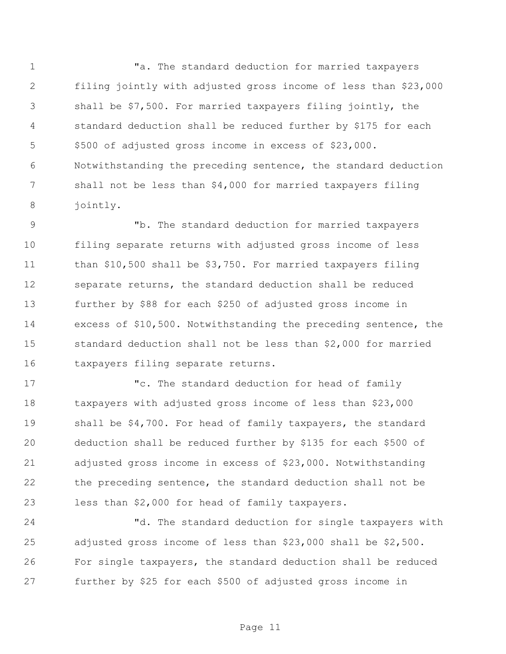1 The standard deduction for married taxpayers filing jointly with adjusted gross income of less than \$23,000 shall be \$7,500. For married taxpayers filing jointly, the standard deduction shall be reduced further by \$175 for each \$500 of adjusted gross income in excess of \$23,000. Notwithstanding the preceding sentence, the standard deduction shall not be less than \$4,000 for married taxpayers filing jointly.

 "b. The standard deduction for married taxpayers filing separate returns with adjusted gross income of less than \$10,500 shall be \$3,750. For married taxpayers filing separate returns, the standard deduction shall be reduced further by \$88 for each \$250 of adjusted gross income in excess of \$10,500. Notwithstanding the preceding sentence, the standard deduction shall not be less than \$2,000 for married taxpayers filing separate returns.

 "c. The standard deduction for head of family taxpayers with adjusted gross income of less than \$23,000 shall be \$4,700. For head of family taxpayers, the standard deduction shall be reduced further by \$135 for each \$500 of adjusted gross income in excess of \$23,000. Notwithstanding the preceding sentence, the standard deduction shall not be less than \$2,000 for head of family taxpayers.

 "d. The standard deduction for single taxpayers with adjusted gross income of less than \$23,000 shall be \$2,500. For single taxpayers, the standard deduction shall be reduced further by \$25 for each \$500 of adjusted gross income in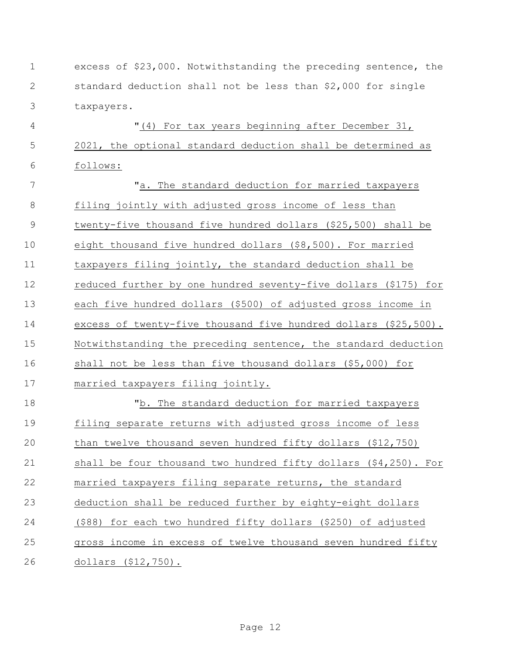| $\mathbf 1$    | excess of \$23,000. Notwithstanding the preceding sentence, the    |
|----------------|--------------------------------------------------------------------|
| $\mathbf{2}$   | standard deduction shall not be less than \$2,000 for single       |
| 3              | taxpayers.                                                         |
| 4              | "(4) For tax years beginning after December 31,                    |
| 5              | 2021, the optional standard deduction shall be determined as       |
| 6              | follows:                                                           |
| $\overline{7}$ | "a. The standard deduction for married taxpayers                   |
| $\,8\,$        | filing jointly with adjusted gross income of less than             |
| $\mathcal{G}$  | twenty-five thousand five hundred dollars (\$25,500) shall be      |
| 10             | eight thousand five hundred dollars (\$8,500). For married         |
| 11             | taxpayers filing jointly, the standard deduction shall be          |
| 12             | reduced further by one hundred seventy-five dollars (\$175) for    |
| 13             | each five hundred dollars (\$500) of adjusted gross income in      |
| 14             | excess of twenty-five thousand five hundred dollars (\$25,500).    |
| 15             | Notwithstanding the preceding sentence, the standard deduction     |
| 16             | shall not be less than five thousand dollars (\$5,000) for         |
| 17             | married taxpayers filing jointly.                                  |
| 18             | "b. The standard deduction for married taxpayers                   |
| 19             | filing separate returns with adjusted gross income of less         |
| 20             | than twelve thousand seven hundred fifty dollars (\$12,750)        |
| 21             | shall be four thousand two hundred fifty dollars $(94, 250)$ . For |
| 22             | married taxpayers filing separate returns, the standard            |
| 23             | deduction shall be reduced further by eighty-eight dollars         |
| 24             | (\$88) for each two hundred fifty dollars (\$250) of adjusted      |
| 25             | gross income in excess of twelve thousand seven hundred fifty      |
| 26             | dollars (\$12,750).                                                |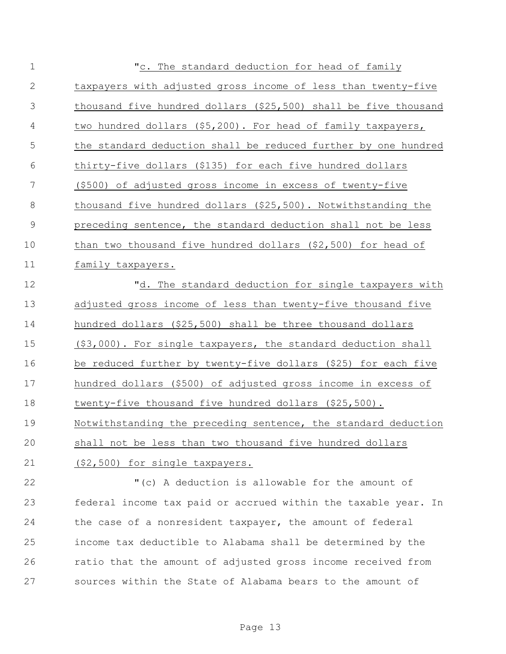| $\mathbf 1$    | "c. The standard deduction for head of family                   |
|----------------|-----------------------------------------------------------------|
| $\sqrt{2}$     | taxpayers with adjusted gross income of less than twenty-five   |
| 3              | thousand five hundred dollars (\$25,500) shall be five thousand |
| 4              | two hundred dollars (\$5,200). For head of family taxpayers,    |
| 5              | the standard deduction shall be reduced further by one hundred  |
| 6              | thirty-five dollars (\$135) for each five hundred dollars       |
| $\overline{7}$ | (\$500) of adjusted gross income in excess of twenty-five       |
| $\,8\,$        | thousand five hundred dollars (\$25,500). Notwithstanding the   |
| $\mathsf 9$    | preceding sentence, the standard deduction shall not be less    |
| 10             | than two thousand five hundred dollars (\$2,500) for head of    |
| 11             | family taxpayers.                                               |
| 12             | "d. The standard deduction for single taxpayers with            |
| 13             | adjusted gross income of less than twenty-five thousand five    |
| 14             | hundred dollars (\$25,500) shall be three thousand dollars      |
| 15             | (\$3,000). For single taxpayers, the standard deduction shall   |
| 16             | be reduced further by twenty-five dollars (\$25) for each five  |
| 17             | hundred dollars (\$500) of adjusted gross income in excess of   |
| 18             | twenty-five thousand five hundred dollars (\$25,500).           |
| 19             | Notwithstanding the preceding sentence, the standard deduction  |
| 20             | shall not be less than two thousand five hundred dollars        |
| 21             | (\$2,500) for single taxpayers.                                 |
| 22             | "(c) A deduction is allowable for the amount of                 |
| 23             | federal income tax paid or accrued within the taxable year. In  |
| 24             | the case of a nonresident taxpayer, the amount of federal       |
| 25             | income tax deductible to Alabama shall be determined by the     |
| 26             | ratio that the amount of adjusted gross income received from    |

sources within the State of Alabama bears to the amount of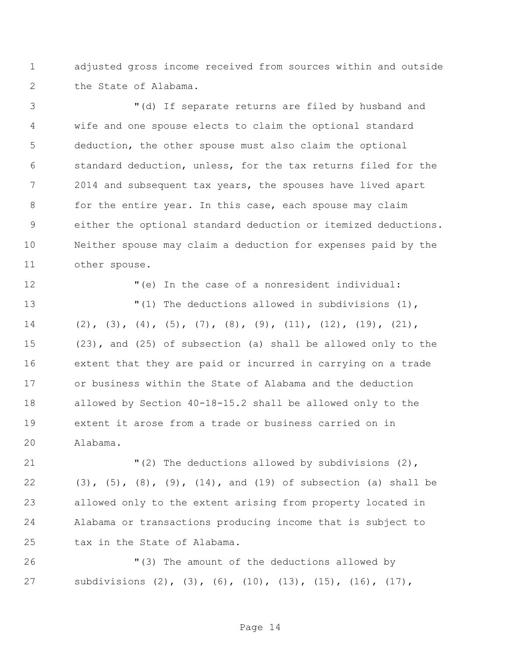adjusted gross income received from sources within and outside the State of Alabama.

 "(d) If separate returns are filed by husband and wife and one spouse elects to claim the optional standard deduction, the other spouse must also claim the optional standard deduction, unless, for the tax returns filed for the 2014 and subsequent tax years, the spouses have lived apart for the entire year. In this case, each spouse may claim either the optional standard deduction or itemized deductions. Neither spouse may claim a deduction for expenses paid by the other spouse.

"(e) In the case of a nonresident individual:

 $(1)$  The deductions allowed in subdivisions (1), 14 (2), (3), (4), (5), (7), (8), (9), (11), (12), (19), (21), (23), and (25) of subsection (a) shall be allowed only to the extent that they are paid or incurred in carrying on a trade or business within the State of Alabama and the deduction allowed by Section 40-18-15.2 shall be allowed only to the extent it arose from a trade or business carried on in Alabama.

 "(2) The deductions allowed by subdivisions (2), (3), (5), (8), (9), (14), and (19) of subsection (a) shall be allowed only to the extent arising from property located in Alabama or transactions producing income that is subject to tax in the State of Alabama.

 "(3) The amount of the deductions allowed by subdivisions (2), (3), (6), (10), (13), (15), (16), (17),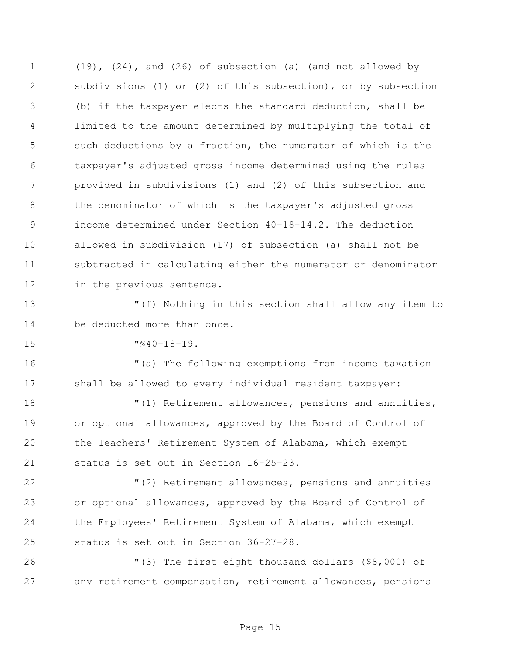(19), (24), and (26) of subsection (a) (and not allowed by subdivisions (1) or (2) of this subsection), or by subsection (b) if the taxpayer elects the standard deduction, shall be limited to the amount determined by multiplying the total of such deductions by a fraction, the numerator of which is the taxpayer's adjusted gross income determined using the rules provided in subdivisions (1) and (2) of this subsection and the denominator of which is the taxpayer's adjusted gross income determined under Section 40-18-14.2. The deduction allowed in subdivision (17) of subsection (a) shall not be subtracted in calculating either the numerator or denominator in the previous sentence.

 "(f) Nothing in this section shall allow any item to be deducted more than once.

"§40-18-19.

 "(a) The following exemptions from income taxation shall be allowed to every individual resident taxpayer:

 "(1) Retirement allowances, pensions and annuities, or optional allowances, approved by the Board of Control of the Teachers' Retirement System of Alabama, which exempt status is set out in Section 16-25-23.

 "(2) Retirement allowances, pensions and annuities or optional allowances, approved by the Board of Control of the Employees' Retirement System of Alabama, which exempt status is set out in Section 36-27-28.

 "(3) The first eight thousand dollars (\$8,000) of any retirement compensation, retirement allowances, pensions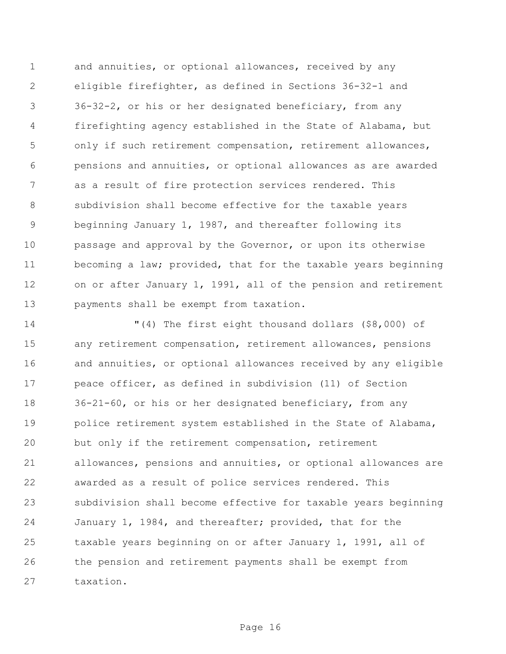and annuities, or optional allowances, received by any eligible firefighter, as defined in Sections 36-32-1 and 36-32-2, or his or her designated beneficiary, from any firefighting agency established in the State of Alabama, but only if such retirement compensation, retirement allowances, pensions and annuities, or optional allowances as are awarded as a result of fire protection services rendered. This subdivision shall become effective for the taxable years beginning January 1, 1987, and thereafter following its passage and approval by the Governor, or upon its otherwise becoming a law; provided, that for the taxable years beginning on or after January 1, 1991, all of the pension and retirement payments shall be exempt from taxation.

 "(4) The first eight thousand dollars (\$8,000) of any retirement compensation, retirement allowances, pensions and annuities, or optional allowances received by any eligible peace officer, as defined in subdivision (11) of Section 36-21-60, or his or her designated beneficiary, from any police retirement system established in the State of Alabama, but only if the retirement compensation, retirement allowances, pensions and annuities, or optional allowances are awarded as a result of police services rendered. This subdivision shall become effective for taxable years beginning January 1, 1984, and thereafter; provided, that for the taxable years beginning on or after January 1, 1991, all of the pension and retirement payments shall be exempt from taxation.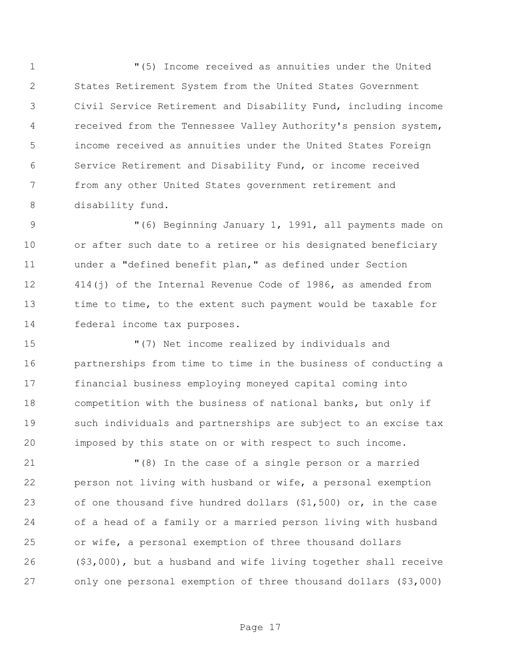"(5) Income received as annuities under the United States Retirement System from the United States Government Civil Service Retirement and Disability Fund, including income received from the Tennessee Valley Authority's pension system, income received as annuities under the United States Foreign Service Retirement and Disability Fund, or income received from any other United States government retirement and disability fund.

9 "(6) Beginning January 1, 1991, all payments made on or after such date to a retiree or his designated beneficiary under a "defined benefit plan," as defined under Section 414(j) of the Internal Revenue Code of 1986, as amended from time to time, to the extent such payment would be taxable for federal income tax purposes.

 "(7) Net income realized by individuals and partnerships from time to time in the business of conducting a financial business employing moneyed capital coming into competition with the business of national banks, but only if such individuals and partnerships are subject to an excise tax imposed by this state on or with respect to such income.

 "(8) In the case of a single person or a married person not living with husband or wife, a personal exemption of one thousand five hundred dollars (\$1,500) or, in the case of a head of a family or a married person living with husband or wife, a personal exemption of three thousand dollars (\$3,000), but a husband and wife living together shall receive only one personal exemption of three thousand dollars (\$3,000)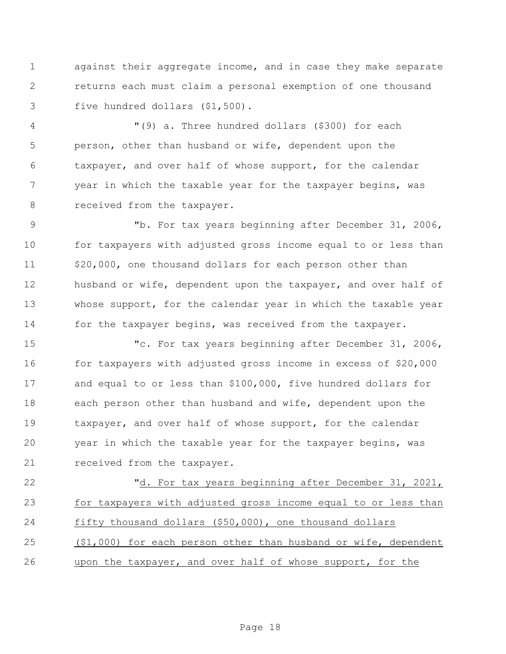against their aggregate income, and in case they make separate returns each must claim a personal exemption of one thousand five hundred dollars (\$1,500).

 "(9) a. Three hundred dollars (\$300) for each person, other than husband or wife, dependent upon the taxpayer, and over half of whose support, for the calendar year in which the taxable year for the taxpayer begins, was 8 received from the taxpayer.

 "b. For tax years beginning after December 31, 2006, for taxpayers with adjusted gross income equal to or less than 11 \$20,000, one thousand dollars for each person other than 12 husband or wife, dependent upon the taxpayer, and over half of whose support, for the calendar year in which the taxable year for the taxpayer begins, was received from the taxpayer.

 "c. For tax years beginning after December 31, 2006, for taxpayers with adjusted gross income in excess of \$20,000 and equal to or less than \$100,000, five hundred dollars for each person other than husband and wife, dependent upon the taxpayer, and over half of whose support, for the calendar year in which the taxable year for the taxpayer begins, was 21 received from the taxpayer.

 "d. For tax years beginning after December 31, 2021, for taxpayers with adjusted gross income equal to or less than fifty thousand dollars (\$50,000), one thousand dollars (\$1,000) for each person other than husband or wife, dependent upon the taxpayer, and over half of whose support, for the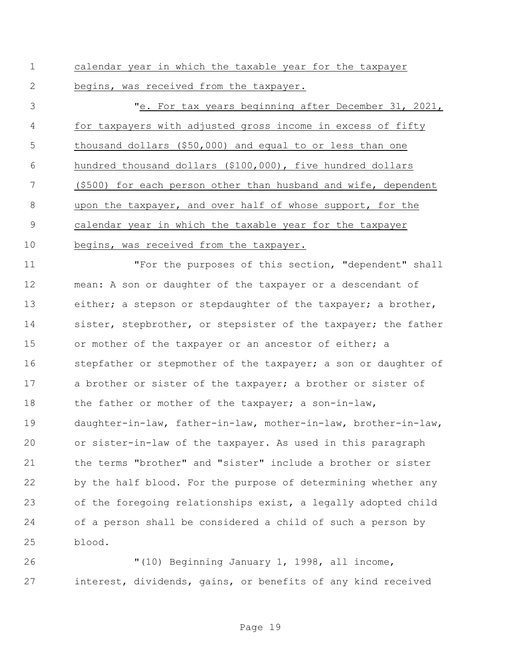calendar year in which the taxable year for the taxpayer begins, was received from the taxpayer.

 "e. For tax years beginning after December 31, 2021, for taxpayers with adjusted gross income in excess of fifty thousand dollars (\$50,000) and equal to or less than one hundred thousand dollars (\$100,000), five hundred dollars (\$500) for each person other than husband and wife, dependent upon the taxpayer, and over half of whose support, for the calendar year in which the taxable year for the taxpayer begins, was received from the taxpayer.

 "For the purposes of this section, "dependent" shall mean: A son or daughter of the taxpayer or a descendant of 13 either; a stepson or stepdaughter of the taxpayer; a brother, 14 sister, stepbrother, or stepsister of the taxpayer; the father 15 or mother of the taxpayer or an ancestor of either; a 16 stepfather or stepmother of the taxpayer; a son or daughter of 17 a brother or sister of the taxpayer; a brother or sister of 18 the father or mother of the taxpayer; a son-in-law, daughter-in-law, father-in-law, mother-in-law, brother-in-law, or sister-in-law of the taxpayer. As used in this paragraph the terms "brother" and "sister" include a brother or sister by the half blood. For the purpose of determining whether any of the foregoing relationships exist, a legally adopted child of a person shall be considered a child of such a person by blood.

 "(10) Beginning January 1, 1998, all income, interest, dividends, gains, or benefits of any kind received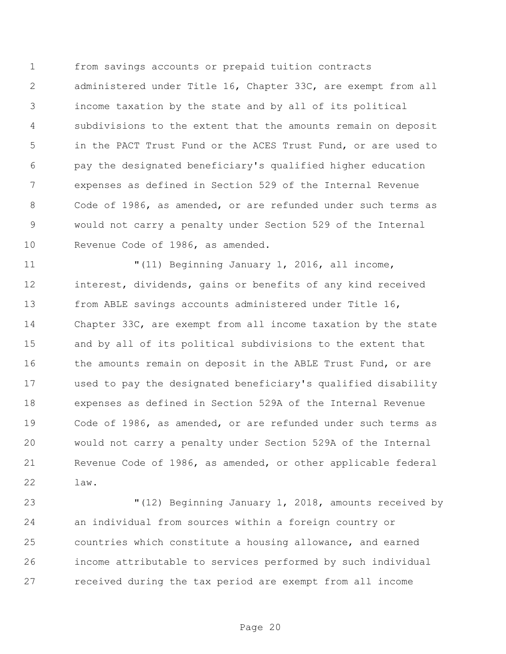from savings accounts or prepaid tuition contracts administered under Title 16, Chapter 33C, are exempt from all income taxation by the state and by all of its political subdivisions to the extent that the amounts remain on deposit in the PACT Trust Fund or the ACES Trust Fund, or are used to pay the designated beneficiary's qualified higher education expenses as defined in Section 529 of the Internal Revenue Code of 1986, as amended, or are refunded under such terms as would not carry a penalty under Section 529 of the Internal Revenue Code of 1986, as amended.

 "(11) Beginning January 1, 2016, all income, interest, dividends, gains or benefits of any kind received from ABLE savings accounts administered under Title 16, Chapter 33C, are exempt from all income taxation by the state and by all of its political subdivisions to the extent that 16 the amounts remain on deposit in the ABLE Trust Fund, or are used to pay the designated beneficiary's qualified disability expenses as defined in Section 529A of the Internal Revenue Code of 1986, as amended, or are refunded under such terms as would not carry a penalty under Section 529A of the Internal Revenue Code of 1986, as amended, or other applicable federal law.

 "(12) Beginning January 1, 2018, amounts received by an individual from sources within a foreign country or countries which constitute a housing allowance, and earned income attributable to services performed by such individual received during the tax period are exempt from all income